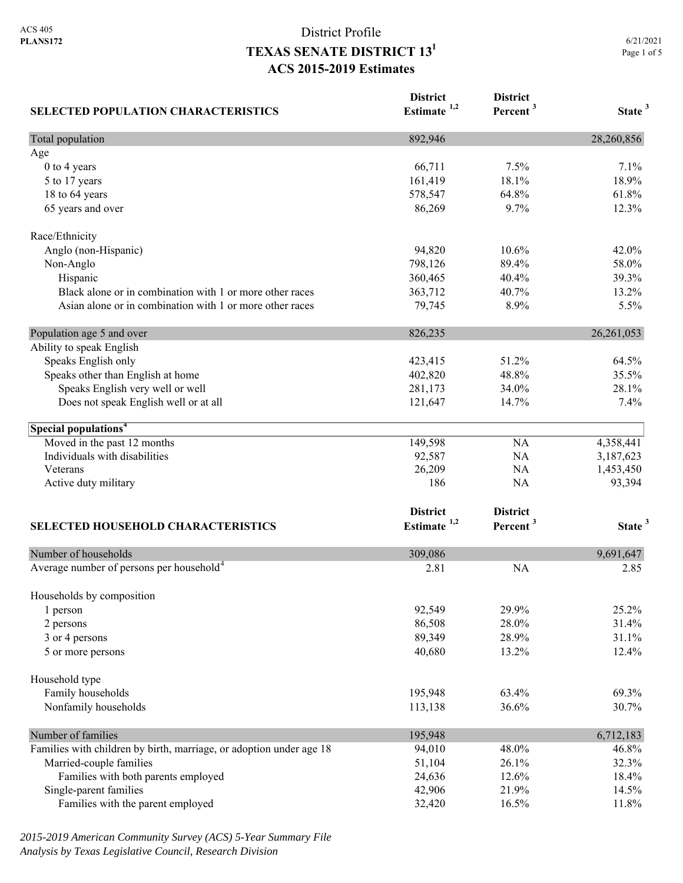| <b>SELECTED POPULATION CHARACTERISTICS</b>                          | <b>District</b><br>Estimate <sup>1,2</sup> | <b>District</b><br>Percent <sup>3</sup> | State <sup>3</sup> |
|---------------------------------------------------------------------|--------------------------------------------|-----------------------------------------|--------------------|
| Total population                                                    | 892,946                                    |                                         | 28,260,856         |
| Age                                                                 |                                            |                                         |                    |
| 0 to 4 years                                                        | 66,711                                     | 7.5%                                    | 7.1%               |
| 5 to 17 years                                                       | 161,419                                    | 18.1%                                   | 18.9%              |
| 18 to 64 years                                                      | 578,547                                    | 64.8%                                   | 61.8%              |
| 65 years and over                                                   | 86,269                                     | 9.7%                                    | 12.3%              |
| Race/Ethnicity                                                      |                                            |                                         |                    |
| Anglo (non-Hispanic)                                                | 94,820                                     | 10.6%                                   | 42.0%              |
| Non-Anglo                                                           | 798,126                                    | 89.4%                                   | 58.0%              |
| Hispanic                                                            | 360,465                                    | 40.4%                                   | 39.3%              |
| Black alone or in combination with 1 or more other races            | 363,712                                    | 40.7%                                   | 13.2%              |
| Asian alone or in combination with 1 or more other races            | 79,745                                     | 8.9%                                    | 5.5%               |
| Population age 5 and over                                           | 826,235                                    |                                         | 26, 261, 053       |
| Ability to speak English                                            |                                            |                                         |                    |
| Speaks English only                                                 | 423,415                                    | 51.2%                                   | 64.5%              |
| Speaks other than English at home                                   | 402,820                                    | 48.8%                                   | 35.5%              |
| Speaks English very well or well                                    | 281,173                                    | 34.0%                                   | 28.1%              |
| Does not speak English well or at all                               | 121,647                                    | 14.7%                                   | 7.4%               |
| Special populations <sup>4</sup>                                    |                                            |                                         |                    |
| Moved in the past 12 months                                         | 149,598                                    | <b>NA</b>                               | 4,358,441          |
| Individuals with disabilities                                       | 92,587                                     | NA                                      | 3,187,623          |
| Veterans                                                            | 26,209                                     | NA                                      | 1,453,450          |
| Active duty military                                                | 186                                        | NA                                      | 93,394             |
|                                                                     | <b>District</b>                            | <b>District</b>                         |                    |
| SELECTED HOUSEHOLD CHARACTERISTICS                                  | Estimate $1,2$                             | Percent <sup>3</sup>                    | State <sup>3</sup> |
|                                                                     |                                            |                                         |                    |
| Number of households                                                | 309,086                                    |                                         | 9,691,647          |
| Average number of persons per household <sup>4</sup>                | 2.81                                       | <b>NA</b>                               | 2.85               |
| Households by composition                                           |                                            |                                         |                    |
| 1 person                                                            | 92,549                                     | 29.9%                                   | 25.2%              |
| 2 persons                                                           | 86,508                                     | 28.0%                                   | 31.4%              |
| 3 or 4 persons                                                      | 89,349                                     | 28.9%                                   | 31.1%              |
| 5 or more persons                                                   | 40,680                                     | 13.2%                                   | 12.4%              |
| Household type                                                      |                                            |                                         |                    |
| Family households                                                   | 195,948                                    | 63.4%                                   | 69.3%              |
| Nonfamily households                                                | 113,138                                    | 36.6%                                   | 30.7%              |
| Number of families                                                  | 195,948                                    |                                         | 6,712,183          |
| Families with children by birth, marriage, or adoption under age 18 | 94,010                                     | 48.0%                                   | 46.8%              |
| Married-couple families                                             | 51,104                                     | 26.1%                                   | 32.3%              |
| Families with both parents employed                                 | 24,636                                     | 12.6%                                   | 18.4%              |
| Single-parent families                                              | 42,906                                     | 21.9%                                   | 14.5%              |
| Families with the parent employed                                   | 32,420                                     | 16.5%                                   | 11.8%              |

*2015-2019 American Community Survey (ACS) 5-Year Summary File Analysis by Texas Legislative Council, Research Division*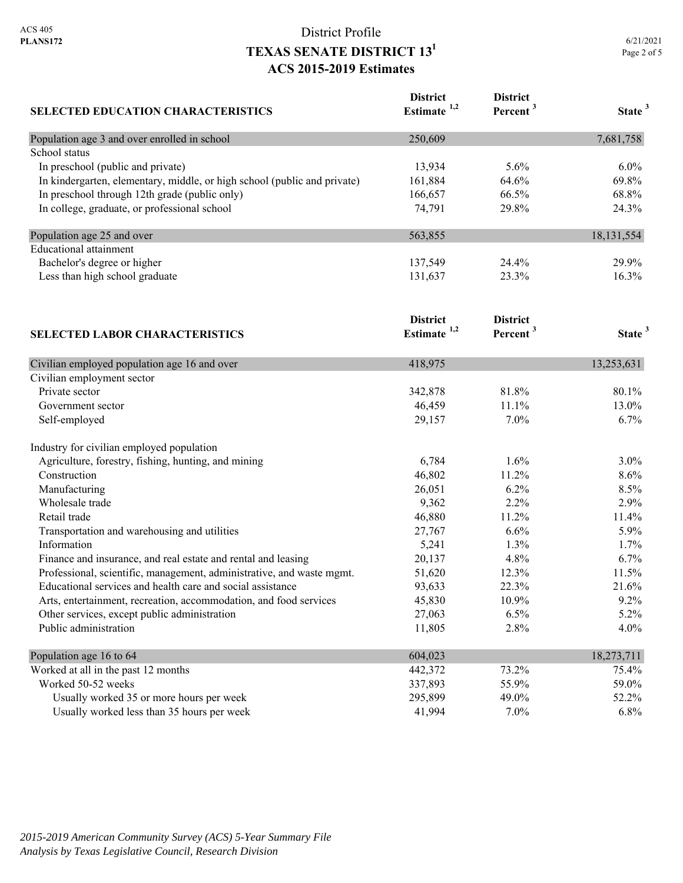| <b>SELECTED EDUCATION CHARACTERISTICS</b>                                | <b>District</b><br>Estimate <sup>1,2</sup> | <b>District</b><br>Percent <sup>3</sup> | State <sup>3</sup> |
|--------------------------------------------------------------------------|--------------------------------------------|-----------------------------------------|--------------------|
| Population age 3 and over enrolled in school                             | 250,609                                    |                                         | 7,681,758          |
| School status                                                            |                                            |                                         |                    |
| In preschool (public and private)                                        | 13,934                                     | 5.6%                                    | 6.0%               |
| In kindergarten, elementary, middle, or high school (public and private) | 161,884                                    | 64.6%                                   | 69.8%              |
| In preschool through 12th grade (public only)                            | 166,657                                    | 66.5%                                   | 68.8%              |
| In college, graduate, or professional school                             | 74,791                                     | 29.8%                                   | 24.3%              |
| Population age 25 and over                                               | 563,855                                    |                                         | 18, 131, 554       |
| <b>Educational</b> attainment                                            |                                            |                                         |                    |
| Bachelor's degree or higher                                              | 137,549                                    | 24.4%                                   | 29.9%              |
| Less than high school graduate                                           | 131,637                                    | 23.3%                                   | 16.3%              |
|                                                                          | <b>District</b>                            | <b>District</b>                         |                    |
| <b>SELECTED LABOR CHARACTERISTICS</b>                                    | Estimate $1,2$                             | Percent <sup>3</sup>                    | State <sup>3</sup> |
| Civilian employed population age 16 and over                             | 418,975                                    |                                         | 13,253,631         |
| Civilian employment sector                                               |                                            |                                         |                    |
| Private sector                                                           | 342,878                                    | 81.8%                                   | 80.1%              |
| Government sector                                                        | 46,459                                     | 11.1%                                   | 13.0%              |
| Self-employed                                                            | 29,157                                     | 7.0%                                    | 6.7%               |
| Industry for civilian employed population                                |                                            |                                         |                    |
| Agriculture, forestry, fishing, hunting, and mining                      | 6,784                                      | 1.6%                                    | 3.0%               |
| Construction                                                             | 46,802                                     | 11.2%                                   | 8.6%               |
| Manufacturing                                                            | 26,051                                     | 6.2%                                    | 8.5%               |
| Wholesale trade                                                          | 9,362                                      | 2.2%                                    | 2.9%               |
| Retail trade                                                             | 46,880                                     | 11.2%                                   | 11.4%              |
| Transportation and warehousing and utilities                             | 27,767                                     | 6.6%                                    | 5.9%               |
| Information                                                              | 5,241                                      | 1.3%                                    | 1.7%               |
| Finance and insurance, and real estate and rental and leasing            | 20,137                                     | 4.8%                                    | 6.7%               |
| Professional, scientific, management, administrative, and waste mgmt.    | 51,620                                     | 12.3%                                   | 11.5%              |
| Educational services and health care and social assistance               | 93,633                                     | 22.3%                                   | 21.6%              |
| Arts, entertainment, recreation, accommodation, and food services        | 45,830                                     | 10.9%                                   | 9.2%               |
| Other services, except public administration                             | 27,063                                     | 6.5%                                    | 5.2%               |
| Public administration                                                    | 11,805                                     | 2.8%                                    | 4.0%               |
| Population age 16 to 64                                                  | 604,023                                    |                                         | 18,273,711         |
| Worked at all in the past 12 months                                      | 442,372                                    | 73.2%                                   | 75.4%              |
| Worked 50-52 weeks                                                       | 337,893                                    | 55.9%                                   | 59.0%              |
| Usually worked 35 or more hours per week                                 | 295,899                                    | 49.0%                                   | 52.2%              |
| Usually worked less than 35 hours per week                               | 41,994                                     | 7.0%                                    | 6.8%               |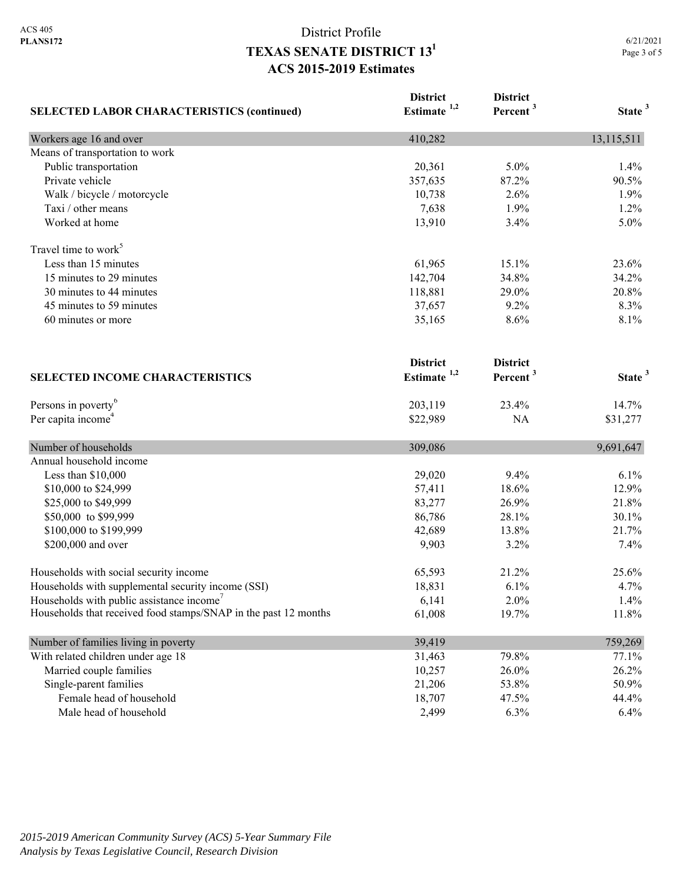| <b>SELECTED LABOR CHARACTERISTICS (continued)</b>               | <b>District</b><br>Estimate $1,2$ | <b>District</b><br>Percent <sup>3</sup> | State <sup>3</sup> |
|-----------------------------------------------------------------|-----------------------------------|-----------------------------------------|--------------------|
| Workers age 16 and over                                         | 410,282                           |                                         | 13,115,511         |
| Means of transportation to work                                 |                                   |                                         |                    |
| Public transportation                                           | 20,361                            | 5.0%                                    | 1.4%               |
| Private vehicle                                                 | 357,635                           | 87.2%                                   | 90.5%              |
| Walk / bicycle / motorcycle                                     | 10,738                            | 2.6%                                    | 1.9%               |
| Taxi / other means                                              | 7,638                             | 1.9%                                    | 1.2%               |
| Worked at home                                                  | 13,910                            | 3.4%                                    | 5.0%               |
| Travel time to work <sup>5</sup>                                |                                   |                                         |                    |
| Less than 15 minutes                                            | 61,965                            | 15.1%                                   | 23.6%              |
| 15 minutes to 29 minutes                                        | 142,704                           | 34.8%                                   | 34.2%              |
| 30 minutes to 44 minutes                                        | 118,881                           | 29.0%                                   | 20.8%              |
| 45 minutes to 59 minutes                                        | 37,657                            | 9.2%                                    | 8.3%               |
| 60 minutes or more                                              | 35,165                            | 8.6%                                    | 8.1%               |
|                                                                 | <b>District</b>                   | <b>District</b>                         |                    |
| <b>SELECTED INCOME CHARACTERISTICS</b>                          | Estimate $1,2$                    | Percent <sup>3</sup>                    | State <sup>3</sup> |
| Persons in poverty <sup>6</sup>                                 | 203,119                           | 23.4%                                   | 14.7%              |
| Per capita income <sup>4</sup>                                  | \$22,989                          | NA                                      | \$31,277           |
| Number of households                                            | 309,086                           |                                         | 9,691,647          |
| Annual household income                                         |                                   |                                         |                    |
| Less than $$10,000$                                             | 29,020                            | 9.4%                                    | 6.1%               |
| \$10,000 to \$24,999                                            | 57,411                            | 18.6%                                   | 12.9%              |
| \$25,000 to \$49,999                                            | 83,277                            | 26.9%                                   | 21.8%              |
| \$50,000 to \$99,999                                            | 86,786                            | 28.1%                                   | 30.1%              |
| \$100,000 to \$199,999                                          | 42,689                            | 13.8%                                   | 21.7%              |
| \$200,000 and over                                              | 9,903                             | 3.2%                                    | 7.4%               |
| Households with social security income                          | 65,593                            | 21.2%                                   | 25.6%              |
| Households with supplemental security income (SSI)              | 18,831                            | 6.1%                                    | 4.7%               |
| Households with public assistance income'                       | 6,141                             | 2.0%                                    | 1.4%               |
| Households that received food stamps/SNAP in the past 12 months | 61,008                            | 19.7%                                   | 11.8%              |
| Number of families living in poverty                            | 39,419                            |                                         | 759,269            |
| With related children under age 18                              | 31,463                            | 79.8%                                   | 77.1%              |
| Married couple families                                         | 10,257                            | 26.0%                                   | 26.2%              |
| Single-parent families                                          | 21,206                            | 53.8%                                   | 50.9%              |
| Female head of household                                        | 18,707                            | 47.5%                                   | 44.4%              |
| Male head of household                                          | 2,499                             | 6.3%                                    | 6.4%               |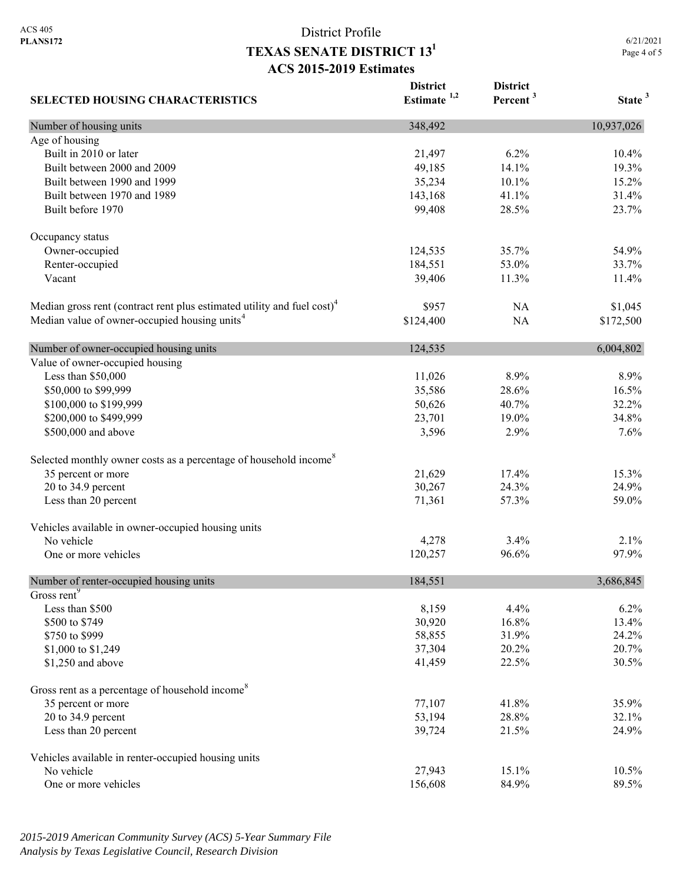6/21/2021 Page 4 of 5

| <b>SELECTED HOUSING CHARACTERISTICS</b>                                             | <b>District</b><br>Estimate $1,2$ | <b>District</b><br>Percent <sup>3</sup> | State <sup>3</sup> |
|-------------------------------------------------------------------------------------|-----------------------------------|-----------------------------------------|--------------------|
| Number of housing units                                                             | 348,492                           |                                         | 10,937,026         |
| Age of housing                                                                      |                                   |                                         |                    |
| Built in 2010 or later                                                              | 21,497                            | 6.2%                                    | 10.4%              |
| Built between 2000 and 2009                                                         | 49,185                            | 14.1%                                   | 19.3%              |
| Built between 1990 and 1999                                                         | 35,234                            | 10.1%                                   | 15.2%              |
| Built between 1970 and 1989                                                         | 143,168                           | 41.1%                                   | 31.4%              |
| Built before 1970                                                                   | 99,408                            | 28.5%                                   | 23.7%              |
| Occupancy status                                                                    |                                   |                                         |                    |
| Owner-occupied                                                                      | 124,535                           | 35.7%                                   | 54.9%              |
| Renter-occupied                                                                     | 184,551                           | 53.0%                                   | 33.7%              |
| Vacant                                                                              | 39,406                            | 11.3%                                   | 11.4%              |
| Median gross rent (contract rent plus estimated utility and fuel cost) <sup>4</sup> | \$957                             | NA                                      | \$1,045            |
| Median value of owner-occupied housing units <sup>4</sup>                           | \$124,400                         | <b>NA</b>                               | \$172,500          |
| Number of owner-occupied housing units                                              | 124,535                           |                                         | 6,004,802          |
| Value of owner-occupied housing                                                     |                                   |                                         |                    |
| Less than \$50,000                                                                  | 11,026                            | 8.9%                                    | 8.9%               |
| \$50,000 to \$99,999                                                                | 35,586                            | 28.6%                                   | 16.5%              |
| \$100,000 to \$199,999                                                              | 50,626                            | 40.7%                                   | 32.2%              |
| \$200,000 to \$499,999                                                              | 23,701                            | 19.0%                                   | 34.8%              |
| \$500,000 and above                                                                 | 3,596                             | 2.9%                                    | 7.6%               |
| Selected monthly owner costs as a percentage of household income <sup>8</sup>       |                                   |                                         |                    |
| 35 percent or more                                                                  | 21,629                            | 17.4%                                   | 15.3%              |
| 20 to 34.9 percent                                                                  | 30,267                            | 24.3%                                   | 24.9%              |
| Less than 20 percent                                                                | 71,361                            | 57.3%                                   | 59.0%              |
| Vehicles available in owner-occupied housing units                                  |                                   |                                         |                    |
| No vehicle                                                                          | 4,278                             | 3.4%                                    | 2.1%               |
| One or more vehicles                                                                | 120,257                           | 96.6%                                   | 97.9%              |
| Number of renter-occupied housing units                                             | 184,551                           |                                         | 3,686,845          |
| Gross rent <sup>9</sup>                                                             |                                   |                                         |                    |
| Less than \$500                                                                     | 8,159                             | 4.4%                                    | 6.2%               |
| \$500 to \$749                                                                      | 30,920                            | 16.8%                                   | 13.4%              |
| \$750 to \$999                                                                      | 58,855                            | 31.9%                                   | 24.2%              |
| \$1,000 to \$1,249                                                                  | 37,304                            | 20.2%                                   | 20.7%              |
| \$1,250 and above                                                                   | 41,459                            | 22.5%                                   | 30.5%              |
| Gross rent as a percentage of household income <sup>8</sup>                         |                                   |                                         |                    |
| 35 percent or more                                                                  | 77,107                            | 41.8%                                   | 35.9%              |
| 20 to 34.9 percent                                                                  | 53,194                            | 28.8%                                   | 32.1%              |
| Less than 20 percent                                                                | 39,724                            | 21.5%                                   | 24.9%              |
| Vehicles available in renter-occupied housing units                                 |                                   |                                         |                    |
| No vehicle                                                                          | 27,943                            | 15.1%                                   | 10.5%              |
| One or more vehicles                                                                | 156,608                           | 84.9%                                   | 89.5%              |